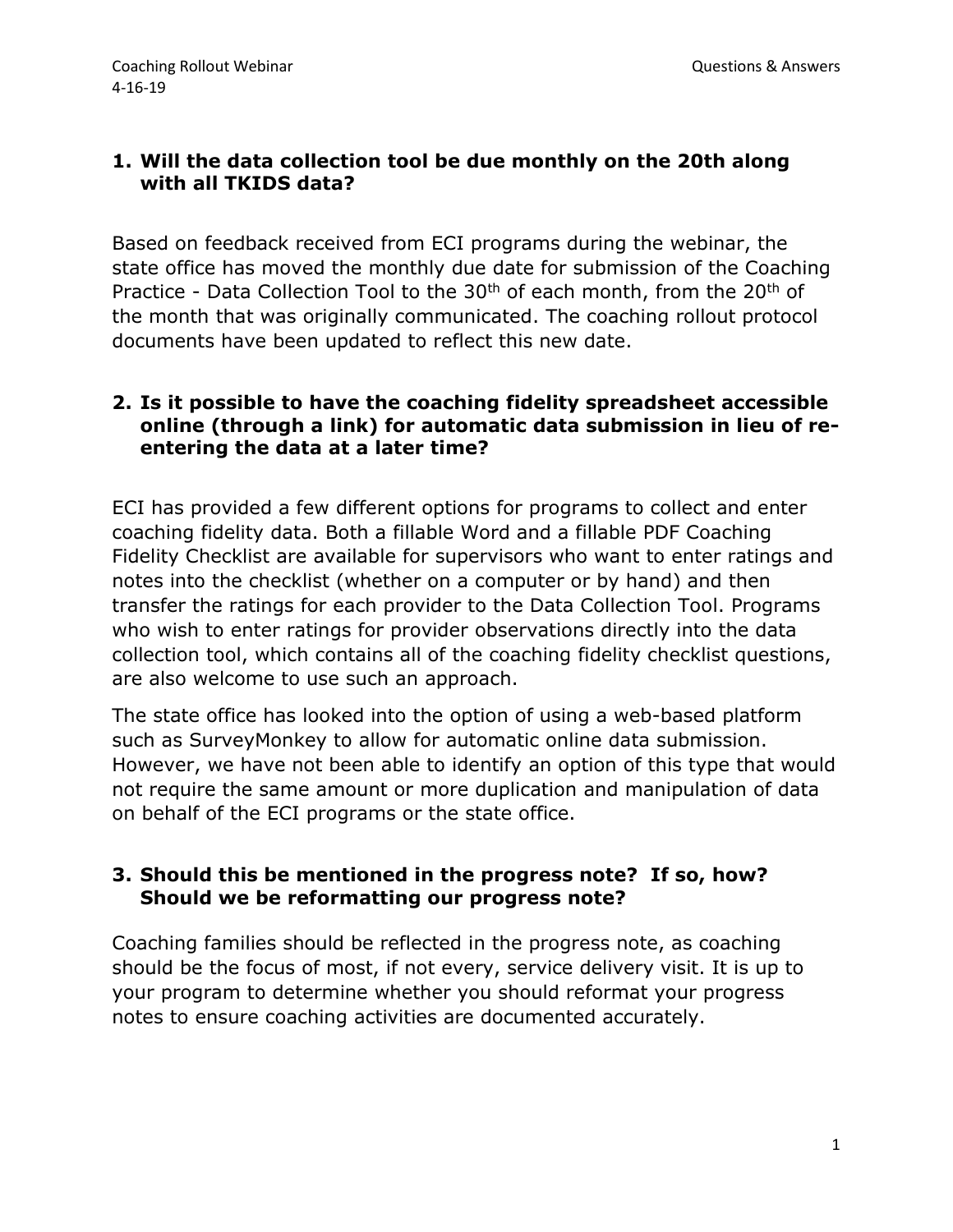## **1. Will the data collection tool be due monthly on the 20th along with all TKIDS data?**

Based on feedback received from ECI programs during the webinar, the state office has moved the monthly due date for submission of the Coaching Practice - Data Collection Tool to the 30<sup>th</sup> of each month, from the 20<sup>th</sup> of the month that was originally communicated. The coaching rollout protocol documents have been updated to reflect this new date.

### **2. Is it possible to have the coaching fidelity spreadsheet accessible online (through a link) for automatic data submission in lieu of reentering the data at a later time?**

ECI has provided a few different options for programs to collect and enter coaching fidelity data. Both a fillable Word and a fillable PDF Coaching Fidelity Checklist are available for supervisors who want to enter ratings and notes into the checklist (whether on a computer or by hand) and then transfer the ratings for each provider to the Data Collection Tool. Programs who wish to enter ratings for provider observations directly into the data collection tool, which contains all of the coaching fidelity checklist questions, are also welcome to use such an approach.

The state office has looked into the option of using a web-based platform such as SurveyMonkey to allow for automatic online data submission. However, we have not been able to identify an option of this type that would not require the same amount or more duplication and manipulation of data on behalf of the ECI programs or the state office.

#### **3. Should this be mentioned in the progress note? If so, how? Should we be reformatting our progress note?**

Coaching families should be reflected in the progress note, as coaching should be the focus of most, if not every, service delivery visit. It is up to your program to determine whether you should reformat your progress notes to ensure coaching activities are documented accurately.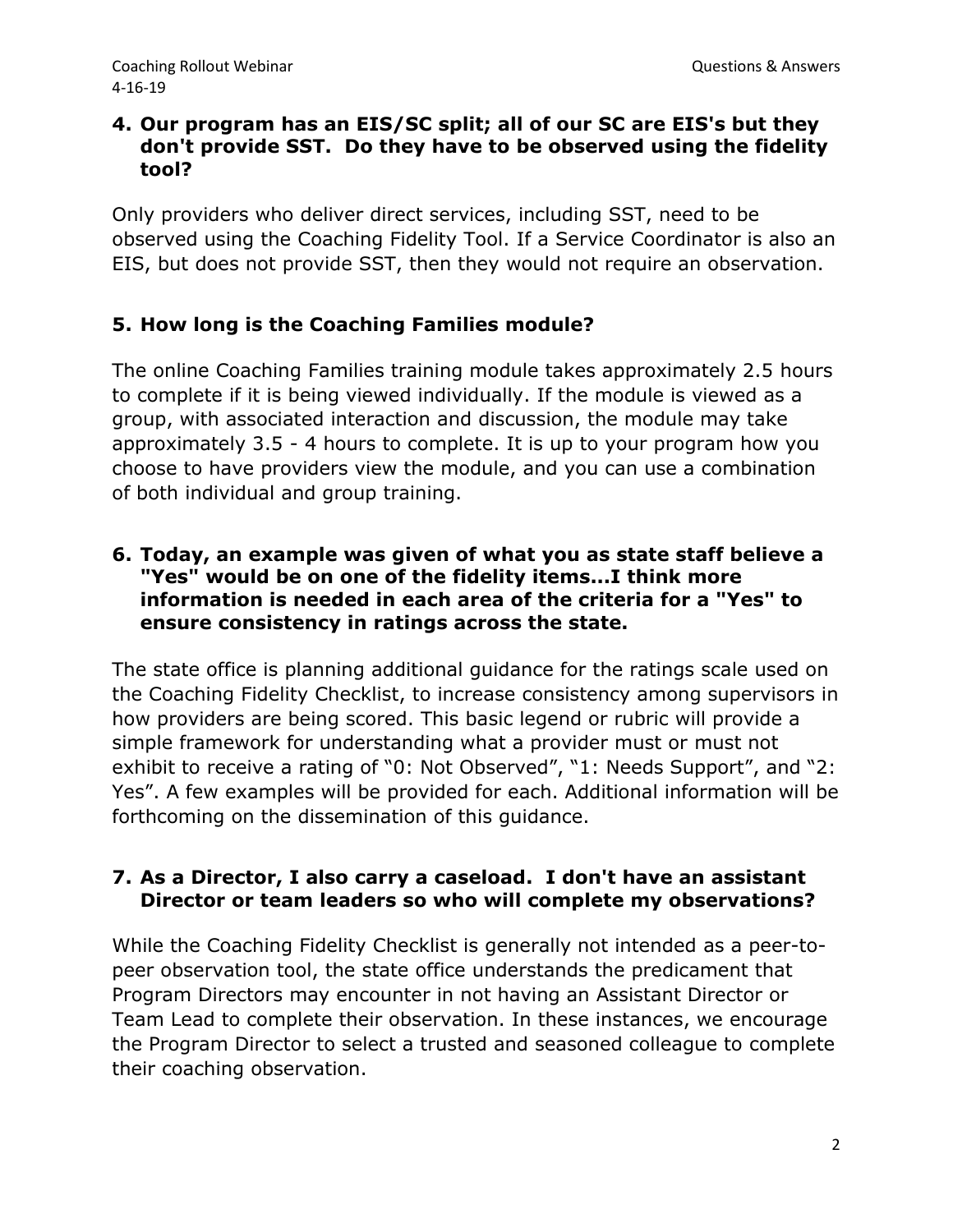### **4. Our program has an EIS/SC split; all of our SC are EIS's but they don't provide SST. Do they have to be observed using the fidelity tool?**

Only providers who deliver direct services, including SST, need to be observed using the Coaching Fidelity Tool. If a Service Coordinator is also an EIS, but does not provide SST, then they would not require an observation.

## **5. How long is the Coaching Families module?**

The online Coaching Families training module takes approximately 2.5 hours to complete if it is being viewed individually. If the module is viewed as a group, with associated interaction and discussion, the module may take approximately 3.5 - 4 hours to complete. It is up to your program how you choose to have providers view the module, and you can use a combination of both individual and group training.

#### **6. Today, an example was given of what you as state staff believe a "Yes" would be on one of the fidelity items...I think more information is needed in each area of the criteria for a "Yes" to ensure consistency in ratings across the state.**

The state office is planning additional guidance for the ratings scale used on the Coaching Fidelity Checklist, to increase consistency among supervisors in how providers are being scored. This basic legend or rubric will provide a simple framework for understanding what a provider must or must not exhibit to receive a rating of "0: Not Observed", "1: Needs Support", and "2: Yes". A few examples will be provided for each. Additional information will be forthcoming on the dissemination of this guidance.

#### **7. As a Director, I also carry a caseload. I don't have an assistant Director or team leaders so who will complete my observations?**

While the Coaching Fidelity Checklist is generally not intended as a peer-topeer observation tool, the state office understands the predicament that Program Directors may encounter in not having an Assistant Director or Team Lead to complete their observation. In these instances, we encourage the Program Director to select a trusted and seasoned colleague to complete their coaching observation.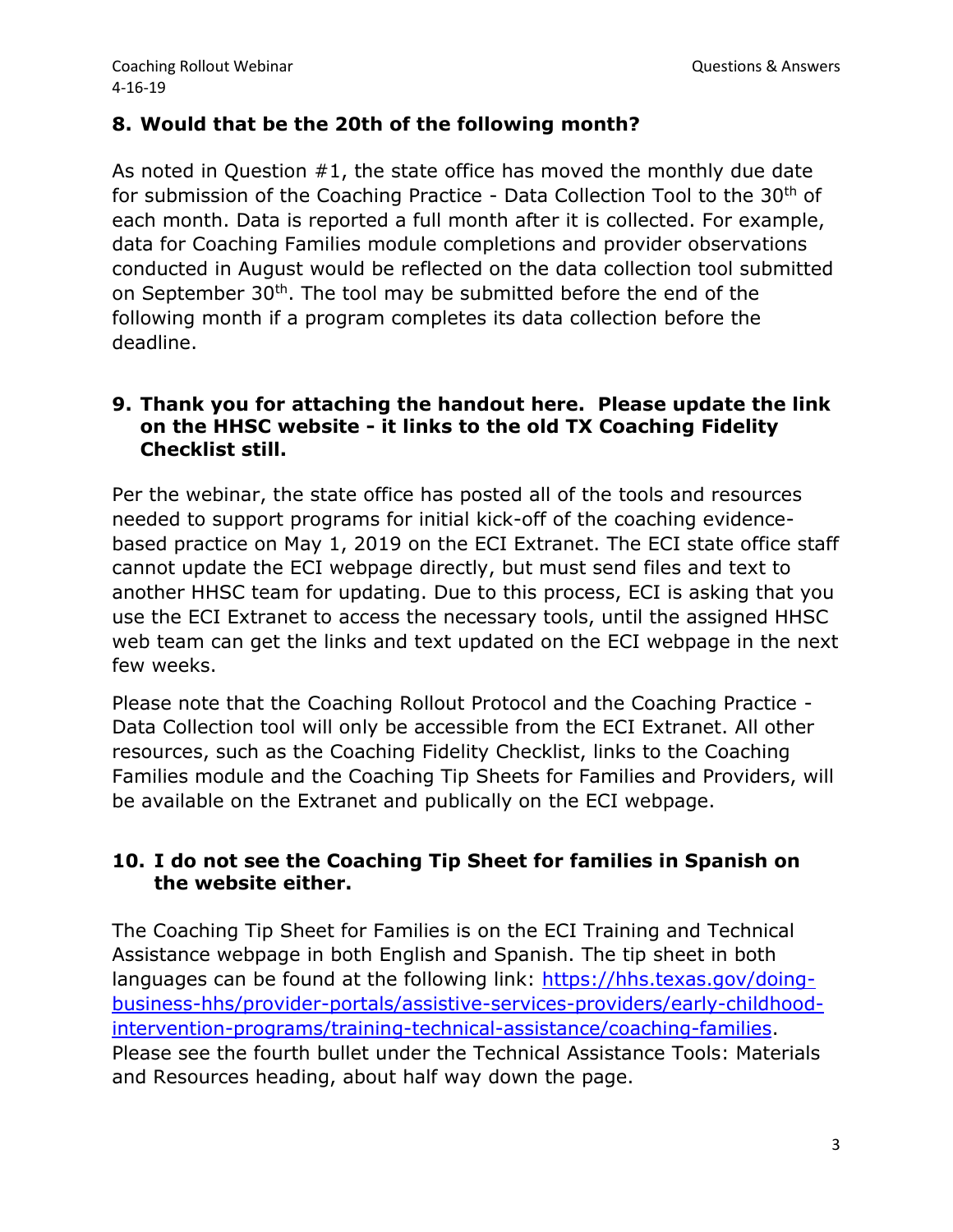### **8. Would that be the 20th of the following month?**

As noted in Question #1, the state office has moved the monthly due date for submission of the Coaching Practice - Data Collection Tool to the 30<sup>th</sup> of each month. Data is reported a full month after it is collected. For example, data for Coaching Families module completions and provider observations conducted in August would be reflected on the data collection tool submitted on September 30<sup>th</sup>. The tool may be submitted before the end of the following month if a program completes its data collection before the deadline.

### **9. Thank you for attaching the handout here. Please update the link on the HHSC website - it links to the old TX Coaching Fidelity Checklist still.**

Per the webinar, the state office has posted all of the tools and resources needed to support programs for initial kick-off of the coaching evidencebased practice on May 1, 2019 on the ECI Extranet. The ECI state office staff cannot update the ECI webpage directly, but must send files and text to another HHSC team for updating. Due to this process, ECI is asking that you use the ECI Extranet to access the necessary tools, until the assigned HHSC web team can get the links and text updated on the ECI webpage in the next few weeks.

Please note that the Coaching Rollout Protocol and the Coaching Practice - Data Collection tool will only be accessible from the ECI Extranet. All other resources, such as the Coaching Fidelity Checklist, links to the Coaching Families module and the Coaching Tip Sheets for Families and Providers, will be available on the Extranet and publically on the ECI webpage.

# **10. I do not see the Coaching Tip Sheet for families in Spanish on the website either.**

The Coaching Tip Sheet for Families is on the ECI Training and Technical Assistance webpage in both English and Spanish. The tip sheet in both languages can be found at the following link: [https://hhs.texas.gov/doing](https://hhs.texas.gov/doing-business-hhs/provider-portals/assistive-services-providers/early-childhood-intervention-programs/training-technical-assistance/coaching-families)[business-hhs/provider-portals/assistive-services-providers/early-childhood](https://hhs.texas.gov/doing-business-hhs/provider-portals/assistive-services-providers/early-childhood-intervention-programs/training-technical-assistance/coaching-families)[intervention-programs/training-technical-assistance/coaching-families.](https://hhs.texas.gov/doing-business-hhs/provider-portals/assistive-services-providers/early-childhood-intervention-programs/training-technical-assistance/coaching-families) Please see the fourth bullet under the Technical Assistance Tools: Materials and Resources heading, about half way down the page.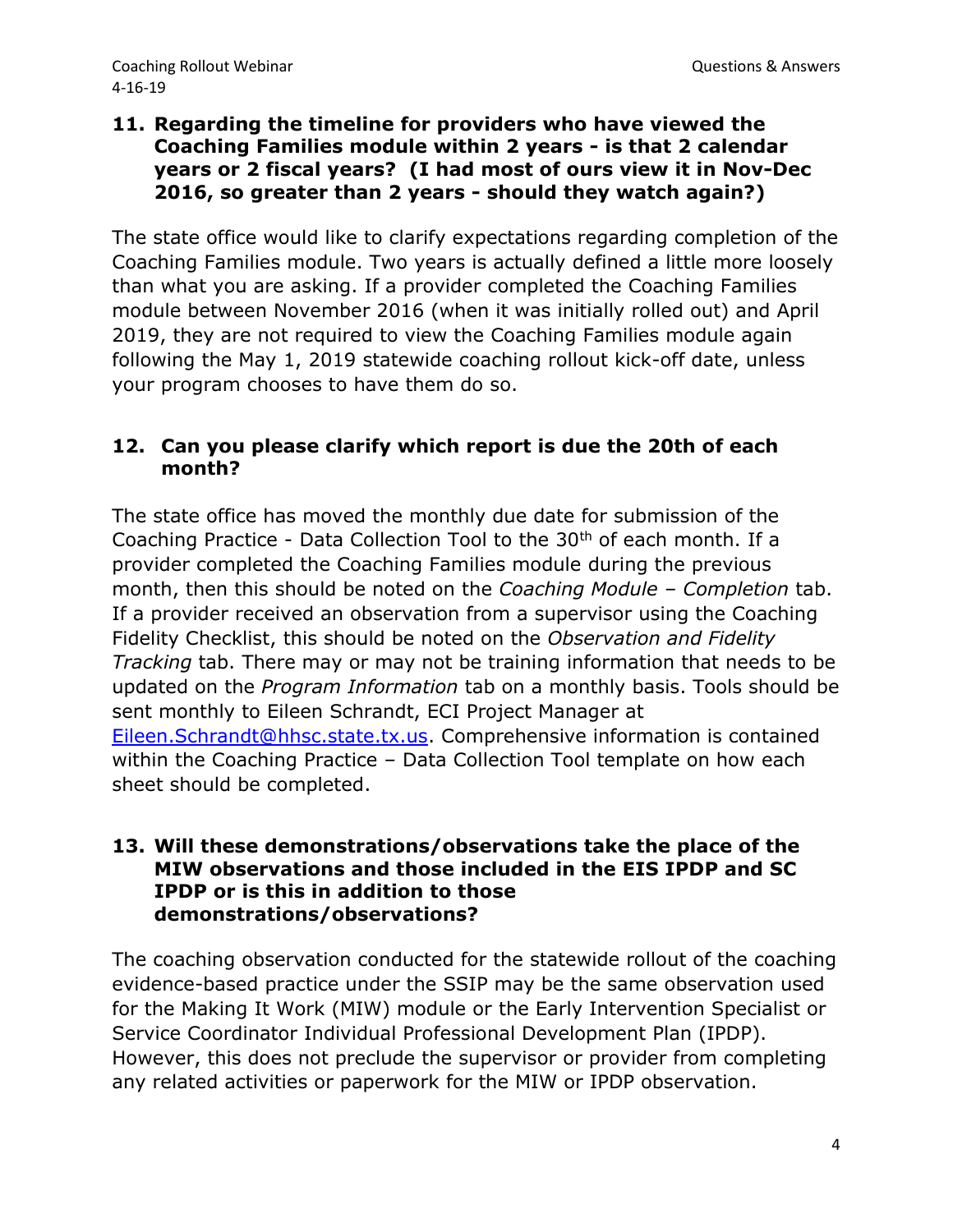### **11. Regarding the timeline for providers who have viewed the Coaching Families module within 2 years - is that 2 calendar years or 2 fiscal years? (I had most of ours view it in Nov-Dec 2016, so greater than 2 years - should they watch again?)**

The state office would like to clarify expectations regarding completion of the Coaching Families module. Two years is actually defined a little more loosely than what you are asking. If a provider completed the Coaching Families module between November 2016 (when it was initially rolled out) and April 2019, they are not required to view the Coaching Families module again following the May 1, 2019 statewide coaching rollout kick-off date, unless your program chooses to have them do so.

#### **12. Can you please clarify which report is due the 20th of each month?**

The state office has moved the monthly due date for submission of the Coaching Practice - Data Collection Tool to the 30<sup>th</sup> of each month. If a provider completed the Coaching Families module during the previous month, then this should be noted on the *Coaching Module – Completion* tab. If a provider received an observation from a supervisor using the Coaching Fidelity Checklist, this should be noted on the *Observation and Fidelity Tracking* tab. There may or may not be training information that needs to be updated on the *Program Information* tab on a monthly basis. Tools should be sent monthly to Eileen Schrandt, ECI Project Manager at [Eileen.Schrandt@hhsc.state.tx.us.](mailto:Eileen.Schrandt@hhsc.state.tx.us) Comprehensive information is contained within the Coaching Practice – Data Collection Tool template on how each sheet should be completed.

#### **13. Will these demonstrations/observations take the place of the MIW observations and those included in the EIS IPDP and SC IPDP or is this in addition to those demonstrations/observations?**

The coaching observation conducted for the statewide rollout of the coaching evidence-based practice under the SSIP may be the same observation used for the Making It Work (MIW) module or the Early Intervention Specialist or Service Coordinator Individual Professional Development Plan (IPDP). However, this does not preclude the supervisor or provider from completing any related activities or paperwork for the MIW or IPDP observation.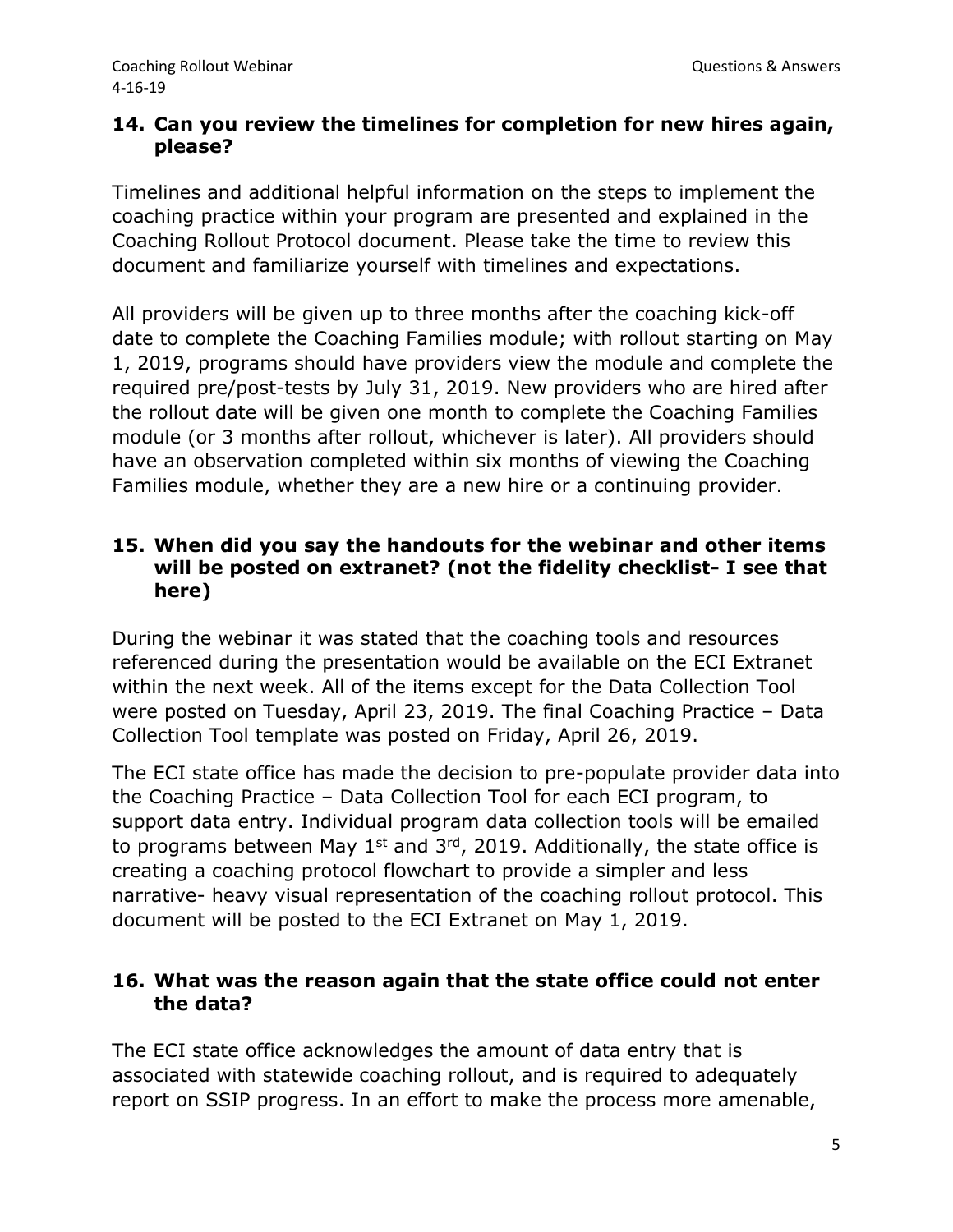### **14. Can you review the timelines for completion for new hires again, please?**

Timelines and additional helpful information on the steps to implement the coaching practice within your program are presented and explained in the Coaching Rollout Protocol document. Please take the time to review this document and familiarize yourself with timelines and expectations.

All providers will be given up to three months after the coaching kick-off date to complete the Coaching Families module; with rollout starting on May 1, 2019, programs should have providers view the module and complete the required pre/post-tests by July 31, 2019. New providers who are hired after the rollout date will be given one month to complete the Coaching Families module (or 3 months after rollout, whichever is later). All providers should have an observation completed within six months of viewing the Coaching Families module, whether they are a new hire or a continuing provider.

# **15. When did you say the handouts for the webinar and other items will be posted on extranet? (not the fidelity checklist- I see that here)**

During the webinar it was stated that the coaching tools and resources referenced during the presentation would be available on the ECI Extranet within the next week. All of the items except for the Data Collection Tool were posted on Tuesday, April 23, 2019. The final Coaching Practice – Data Collection Tool template was posted on Friday, April 26, 2019.

The ECI state office has made the decision to pre-populate provider data into the Coaching Practice – Data Collection Tool for each ECI program, to support data entry. Individual program data collection tools will be emailed to programs between May  $1^{st}$  and  $3^{rd}$ , 2019. Additionally, the state office is creating a coaching protocol flowchart to provide a simpler and less narrative- heavy visual representation of the coaching rollout protocol. This document will be posted to the ECI Extranet on May 1, 2019.

## **16. What was the reason again that the state office could not enter the data?**

The ECI state office acknowledges the amount of data entry that is associated with statewide coaching rollout, and is required to adequately report on SSIP progress. In an effort to make the process more amenable,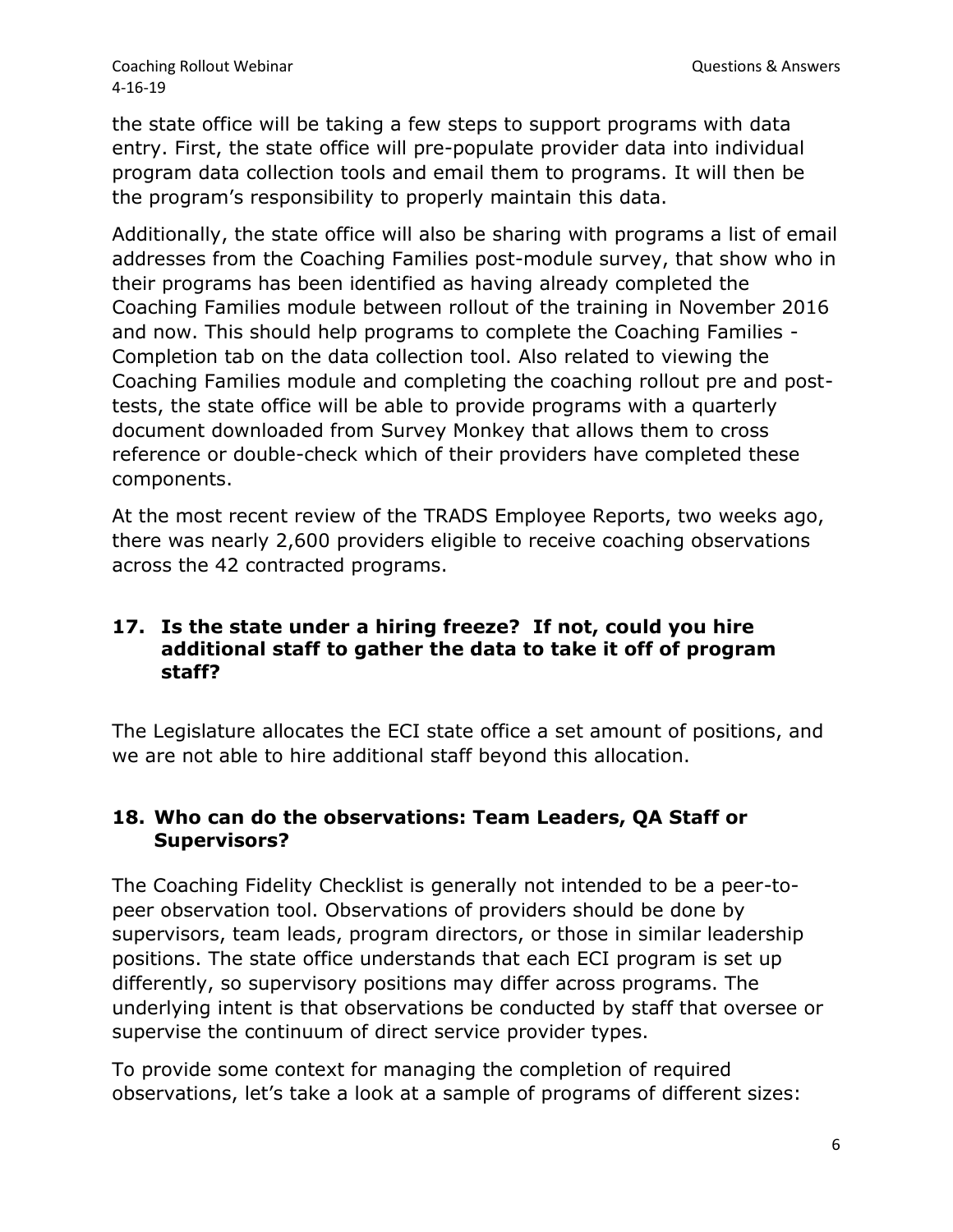the state office will be taking a few steps to support programs with data entry. First, the state office will pre-populate provider data into individual program data collection tools and email them to programs. It will then be the program's responsibility to properly maintain this data.

Additionally, the state office will also be sharing with programs a list of email addresses from the Coaching Families post-module survey, that show who in their programs has been identified as having already completed the Coaching Families module between rollout of the training in November 2016 and now. This should help programs to complete the Coaching Families - Completion tab on the data collection tool. Also related to viewing the Coaching Families module and completing the coaching rollout pre and posttests, the state office will be able to provide programs with a quarterly document downloaded from Survey Monkey that allows them to cross reference or double-check which of their providers have completed these components.

At the most recent review of the TRADS Employee Reports, two weeks ago, there was nearly 2,600 providers eligible to receive coaching observations across the 42 contracted programs.

## **17. Is the state under a hiring freeze? If not, could you hire additional staff to gather the data to take it off of program staff?**

The Legislature allocates the ECI state office a set amount of positions, and we are not able to hire additional staff beyond this allocation.

# **18. Who can do the observations: Team Leaders, QA Staff or Supervisors?**

The Coaching Fidelity Checklist is generally not intended to be a peer-topeer observation tool. Observations of providers should be done by supervisors, team leads, program directors, or those in similar leadership positions. The state office understands that each ECI program is set up differently, so supervisory positions may differ across programs. The underlying intent is that observations be conducted by staff that oversee or supervise the continuum of direct service provider types.

To provide some context for managing the completion of required observations, let's take a look at a sample of programs of different sizes: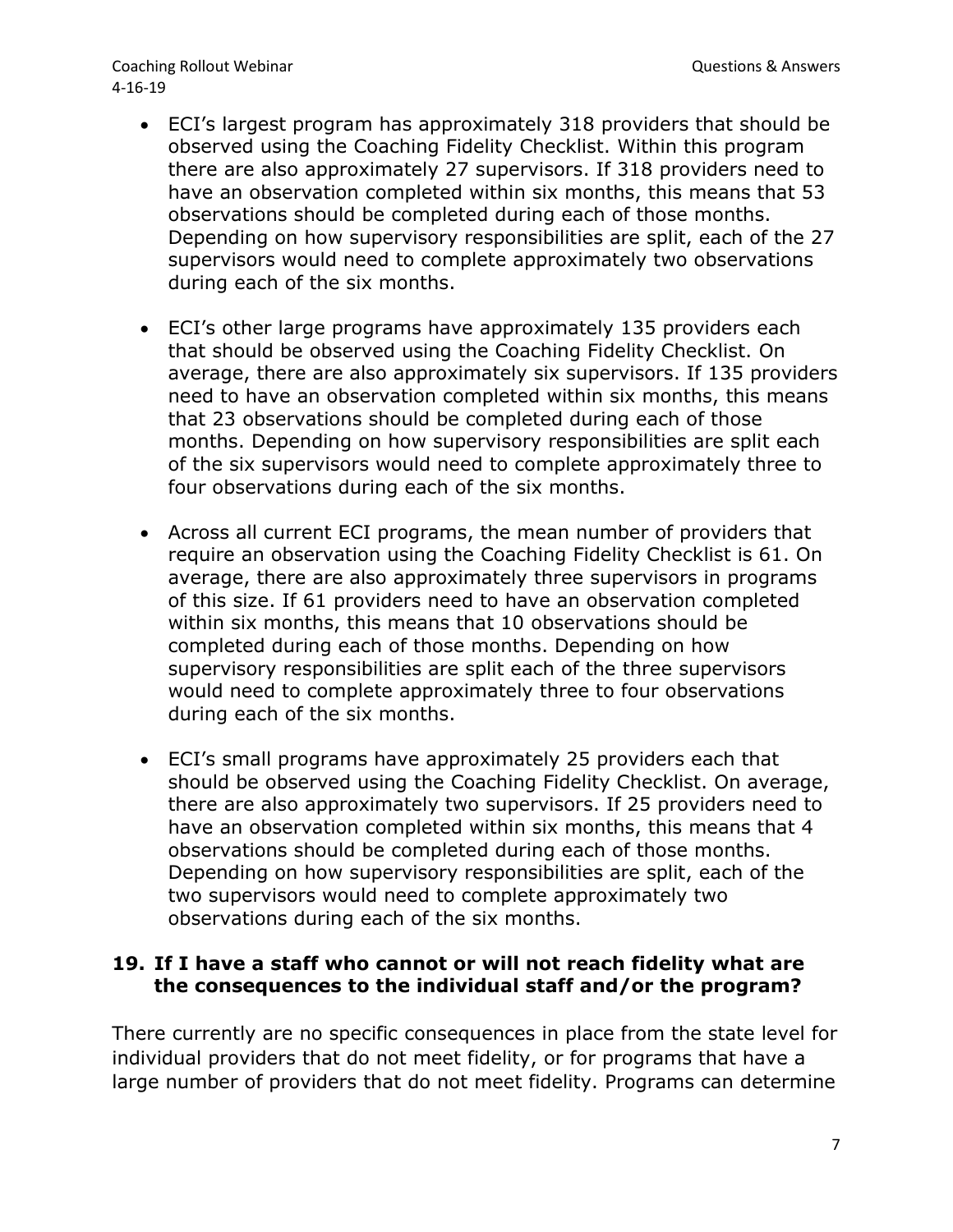Coaching Rollout Webinar Coaching Rollout Webinar Coaching Rollout Webinar Coaching Rollout Messings and Coaching Rollout Messings and Coaching Rollout Messings and Coaching Rollout Messings and Coaching Rollout Messings a 4-16-19

- ECI's largest program has approximately 318 providers that should be observed using the Coaching Fidelity Checklist. Within this program there are also approximately 27 supervisors. If 318 providers need to have an observation completed within six months, this means that 53 observations should be completed during each of those months. Depending on how supervisory responsibilities are split, each of the 27 supervisors would need to complete approximately two observations during each of the six months.
- ECI's other large programs have approximately 135 providers each that should be observed using the Coaching Fidelity Checklist. On average, there are also approximately six supervisors. If 135 providers need to have an observation completed within six months, this means that 23 observations should be completed during each of those months. Depending on how supervisory responsibilities are split each of the six supervisors would need to complete approximately three to four observations during each of the six months.
- Across all current ECI programs, the mean number of providers that require an observation using the Coaching Fidelity Checklist is 61. On average, there are also approximately three supervisors in programs of this size. If 61 providers need to have an observation completed within six months, this means that 10 observations should be completed during each of those months. Depending on how supervisory responsibilities are split each of the three supervisors would need to complete approximately three to four observations during each of the six months.
- ECI's small programs have approximately 25 providers each that should be observed using the Coaching Fidelity Checklist. On average, there are also approximately two supervisors. If 25 providers need to have an observation completed within six months, this means that 4 observations should be completed during each of those months. Depending on how supervisory responsibilities are split, each of the two supervisors would need to complete approximately two observations during each of the six months.

#### **19. If I have a staff who cannot or will not reach fidelity what are the consequences to the individual staff and/or the program?**

There currently are no specific consequences in place from the state level for individual providers that do not meet fidelity, or for programs that have a large number of providers that do not meet fidelity. Programs can determine